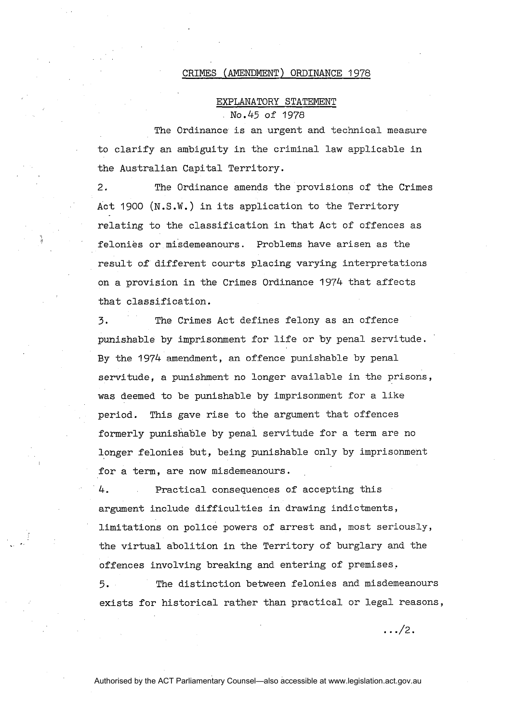## CRIMES (AMENDMENT) ORDINANCE 1978

## EXPLANATORY STATEMENT No .45 of 1978

The Ordinance is an urgent and technical measure to clarify an ambiguity in the criminal law applicable in the Australian Capital Territory.

2. The Ordinance amends the provisions of the Crimes Act 1900 (N.S.W.) in its application to the Territory relating to the classification in that Act of offences as felonies or misdemeanours. Problems have arisen as the result of different courts placing varying interpretations on a provision in the Crimes Ordinance 1974 that affects that classification.

 $\dot{\boldsymbol{u}}$ 

**3.** The Crimes Act defines felony as an offence punishable by imprisonment for life or by penal servitude. By the 1974 amendment, an offence punishable by penal servitude, a punishment no longer available in the prisons, was deemed to be punishable by imprisonment for a like period. This gave rise to the argument that offences formerly punishable by penal servitude for a term are no longer felonies but, being punishable only by imprisonment for a term, are now misdemeanours.

4. Practical consequences of accepting this argument include difficulties in drawing indictments, limitations on police powers of arrest and, most seriously, the virtual abolition in the Territory of burglary and the offences involving breaking and entering of premises.

5. The distinction between felonies and misdemeanours exists for historical rather than practical or legal reasons,

 $\ldots$ /2.